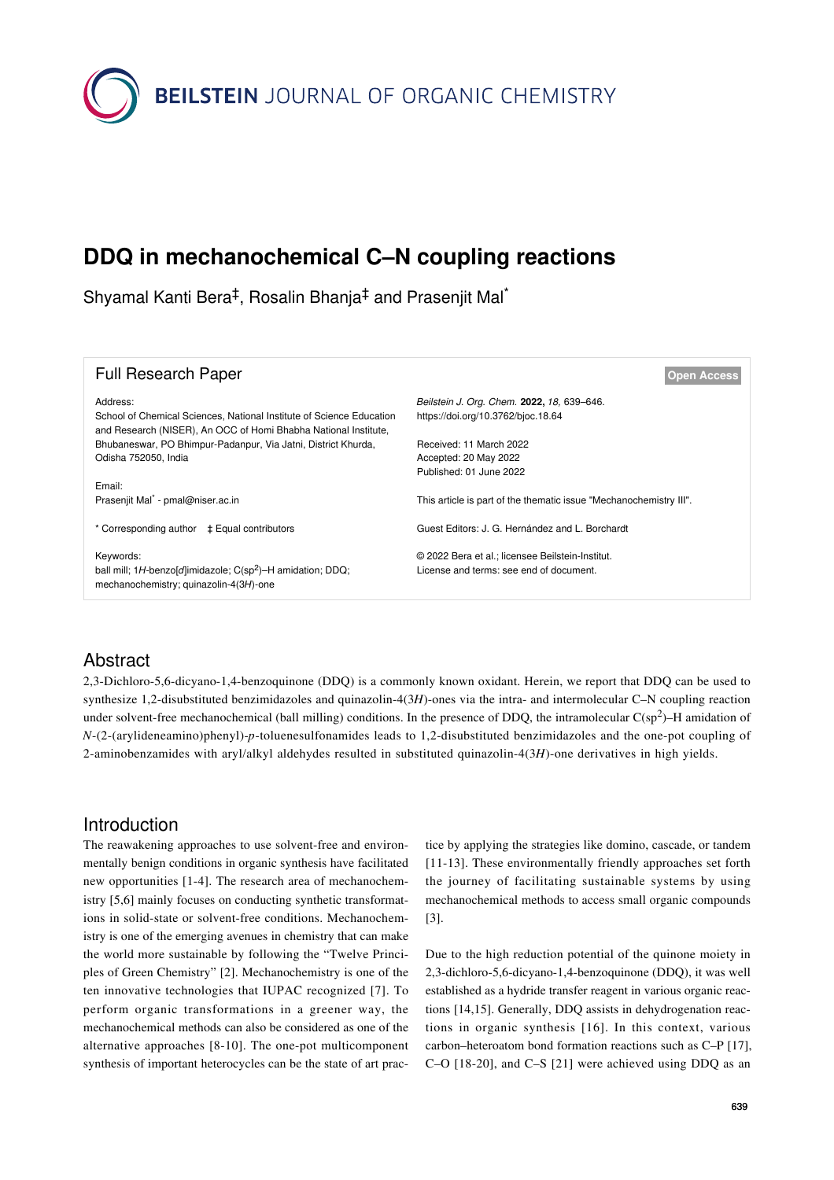**BEILSTEIN** JOURNAL OF ORGANIC CHEMISTRY

# **DDQ in mechanochemical C–N coupling reactions**

Shyamal Kanti Bera<sup>‡</sup>, Rosalin Bhanja<sup>‡</sup> and Prasenjit Mal<sup>\*</sup>

| <b>Full Research Paper</b>                                                                                                                          | <b>Open Access</b>                                                                          |
|-----------------------------------------------------------------------------------------------------------------------------------------------------|---------------------------------------------------------------------------------------------|
| Address:<br>School of Chemical Sciences, National Institute of Science Education<br>and Research (NISER), An OCC of Homi Bhabha National Institute, | Beilstein J. Org. Chem. 2022, 18, 639–646.<br>https://doi.org/10.3762/bjoc.18.64            |
| Bhubaneswar, PO Bhimpur-Padanpur, Via Jatni, District Khurda,                                                                                       | Received: 11 March 2022                                                                     |
| Odisha 752050, India                                                                                                                                | Accepted: 20 May 2022                                                                       |
| Email:                                                                                                                                              | Published: 01 June 2022                                                                     |
| Prasenjit Mal <sup>*</sup> - pmal@niser.ac.in                                                                                                       | This article is part of the thematic issue "Mechanochemistry III".                          |
| * Corresponding author $\pm$ Equal contributors                                                                                                     | Guest Editors: J. G. Hernández and L. Borchardt                                             |
| Keywords:<br>ball mill; $1H$ -benzo[d]imidazole; $C(sp^2)$ -H amidation; DDQ;<br>mechanochemistry; quinazolin-4(3H)-one                             | © 2022 Bera et al.; licensee Beilstein-Institut.<br>License and terms: see end of document. |

#### Abstract

2,3-Dichloro-5,6-dicyano-1,4-benzoquinone (DDQ) is a commonly known oxidant. Herein, we report that DDQ can be used to synthesize 1,2-disubstituted benzimidazoles and quinazolin-4(3*H*)-ones via the intra- and intermolecular C–N coupling reaction under solvent-free mechanochemical (ball milling) conditions. In the presence of DDQ, the intramolecular  $C(sp^2)$ –H amidation of *N*-(2-(arylideneamino)phenyl)-*p*-toluenesulfonamides leads to 1,2-disubstituted benzimidazoles and the one-pot coupling of 2-aminobenzamides with aryl/alkyl aldehydes resulted in substituted quinazolin-4(3*H*)-one derivatives in high yields.

### Introduction

The reawakening approaches to use solvent-free and environmentally benign conditions in organic synthesis have facilitated new opportunities [\[1-4\]](#page-6-0). The research area of mechanochemistry [\[5,6\]](#page-6-1) mainly focuses on conducting synthetic transformations in solid-state or solvent-free conditions. Mechanochemistry is one of the emerging avenues in chemistry that can make the world more sustainable by following the "Twelve Principles of Green Chemistry" [\[2\].](#page-6-2) Mechanochemistry is one of the ten innovative technologies that IUPAC recognized [\[7\]](#page-6-3). To perform organic transformations in a greener way, the mechanochemical methods can also be considered as one of the alternative approaches [\[8-10\]](#page-6-4). The one-pot multicomponent synthesis of important heterocycles can be the state of art prac-

tice by applying the strategies like domino, cascade, or tandem [\[11-13\].](#page-6-5) These environmentally friendly approaches set forth the journey of facilitating sustainable systems by using mechanochemical methods to access small organic compounds [\[3\]](#page-6-6).

Due to the high reduction potential of the quinone moiety in 2,3-dichloro-5,6-dicyano-1,4-benzoquinone (DDQ), it was well established as a hydride transfer reagent in various organic reactions [\[14,15\]](#page-6-7). Generally, DDQ assists in dehydrogenation reactions in organic synthesis [\[16\]](#page-6-8). In this context, various carbon–heteroatom bond formation reactions such as C–P [\[17\]](#page-6-9), C–O [\[18-20\]](#page-6-10), and C–S [\[21\]](#page-6-11) were achieved using DDQ as an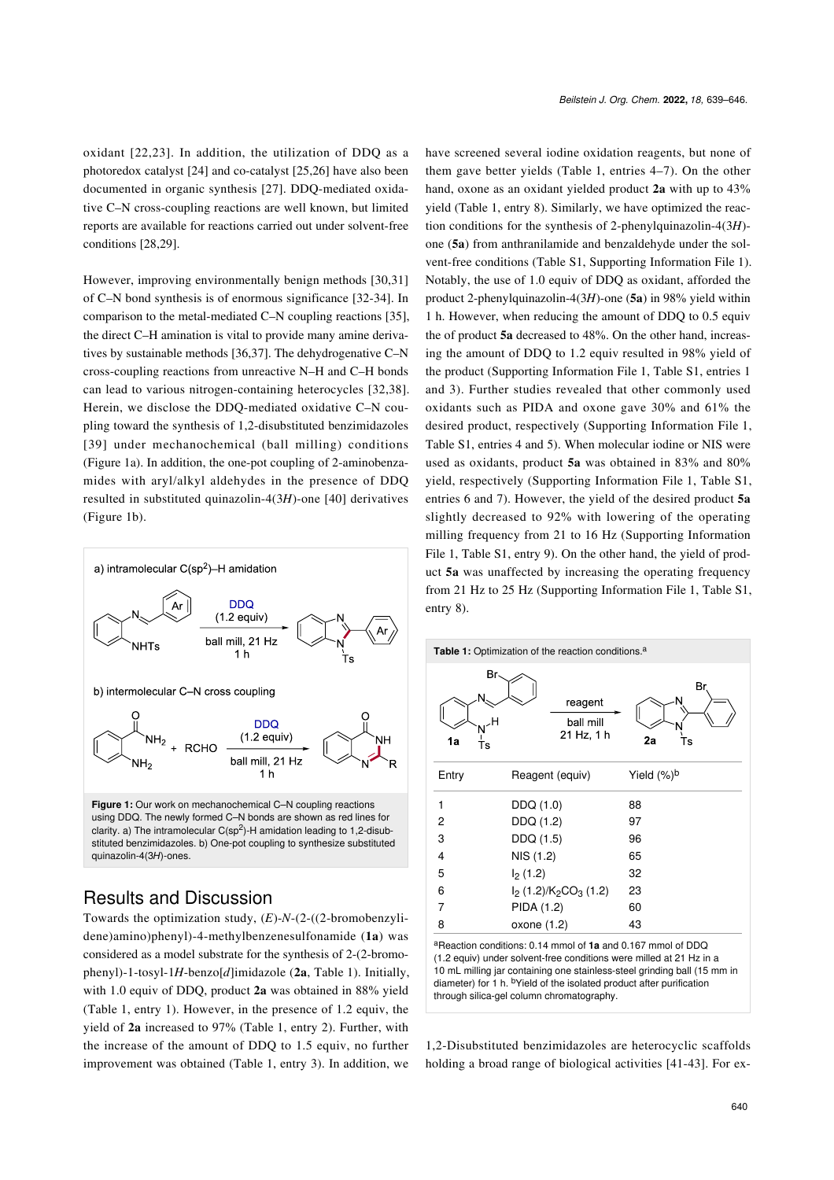oxidant [\[22,23\].](#page-6-12) In addition, the utilization of DDQ as a photoredox catalyst [\[24\]](#page-6-13) and co-catalyst [\[25,26\]](#page-6-14) have also been documented in organic synthesis [\[27\]](#page-6-15). DDQ-mediated oxidative C–N cross-coupling reactions are well known, but limited reports are available for reactions carried out under solvent-free conditions [\[28,29\]](#page-6-16).

However, improving environmentally benign methods [\[30,31\]](#page-6-17) of C–N bond synthesis is of enormous significance [\[32-34\].](#page-6-18) In comparison to the metal-mediated C–N coupling reactions [\[35\]](#page-6-19), the direct C–H amination is vital to provide many amine derivatives by sustainable methods [\[36,37\]](#page-7-0). The dehydrogenative C–N cross-coupling reactions from unreactive N–H and C–H bonds can lead to various nitrogen-containing heterocycles [\[32,38\]](#page-6-18). Herein, we disclose the DDQ-mediated oxidative C–N coupling toward the synthesis of 1,2-disubstituted benzimidazoles [\[39\]](#page-7-1) under mechanochemical (ball milling) conditions ([Figure 1a](#page-1-0)). In addition, the one-pot coupling of 2-aminobenzamides with aryl/alkyl aldehydes in the presence of DDQ resulted in substituted quinazolin-4(3*H*)-one [\[40\]](#page-7-2) derivatives ([Figure 1b](#page-1-0)).

<span id="page-1-0"></span>

## Results and Discussion

quinazolin-4(3*H*)-ones.

Towards the optimization study, (*E*)-*N*-(2-((2-bromobenzylidene)amino)phenyl)-4-methylbenzenesulfonamide (**1a**) was considered as a model substrate for the synthesis of 2-(2-bromophenyl)-1-tosyl-1*H*-benzo[*d*]imidazole (**2a**, [Table 1](#page-1-1)). Initially, with 1.0 equiv of DDQ, product **2a** was obtained in 88% yield ([Table 1,](#page-1-1) entry 1). However, in the presence of 1.2 equiv, the yield of **2a** increased to 97% [\(Table 1](#page-1-1), entry 2). Further, with the increase of the amount of DDQ to 1.5 equiv, no further improvement was obtained ([Table 1,](#page-1-1) entry 3). In addition, we

have screened several iodine oxidation reagents, but none of them gave better yields ([Table 1](#page-1-1), entries 4–7). On the other hand, oxone as an oxidant yielded product **2a** with up to 43% yield [\(Table 1,](#page-1-1) entry 8). Similarly, we have optimized the reaction conditions for the synthesis of 2-phenylquinazolin-4(3*H*) one (**5a**) from anthranilamide and benzaldehyde under the solvent-free conditions (Table S1, [Supporting Information File 1](#page-6-20)). Notably, the use of 1.0 equiv of DDQ as oxidant, afforded the product 2-phenylquinazolin-4(3*H*)-one (**5a**) in 98% yield within 1 h. However, when reducing the amount of DDQ to 0.5 equiv the of product **5a** decreased to 48%. On the other hand, increasing the amount of DDQ to 1.2 equiv resulted in 98% yield of the product ([Supporting Information File 1](#page-6-20), Table S1, entries 1 and 3). Further studies revealed that other commonly used oxidants such as PIDA and oxone gave 30% and 61% the desired product, respectively ([Supporting Information File 1](#page-6-20), Table S1, entries 4 and 5). When molecular iodine or NIS were used as oxidants, product **5a** was obtained in 83% and 80% yield, respectively ([Supporting Information File 1](#page-6-20), Table S1, entries 6 and 7). However, the yield of the desired product **5a** slightly decreased to 92% with lowering of the operating milling frequency from 21 to 16 Hz [\(Supporting Information](#page-6-20) [File 1,](#page-6-20) Table S1, entry 9). On the other hand, the yield of product **5a** was unaffected by increasing the operating frequency from 21 Hz to 25 Hz ([Supporting Information File 1](#page-6-20), Table S1, entry 8).

<span id="page-1-1"></span>

<sup>a</sup>Reaction conditions: 0.14 mmol of **1a** and 0.167 mmol of DDQ (1.2 equiv) under solvent-free conditions were milled at 21 Hz in a 10 mL milling jar containing one stainless-steel grinding ball (15 mm in diameter) for 1 h. bYield of the isolated product after purification through silica-gel column chromatography.

1,2-Disubstituted benzimidazoles are heterocyclic scaffolds holding a broad range of biological activities [\[41-43\]](#page-7-3). For ex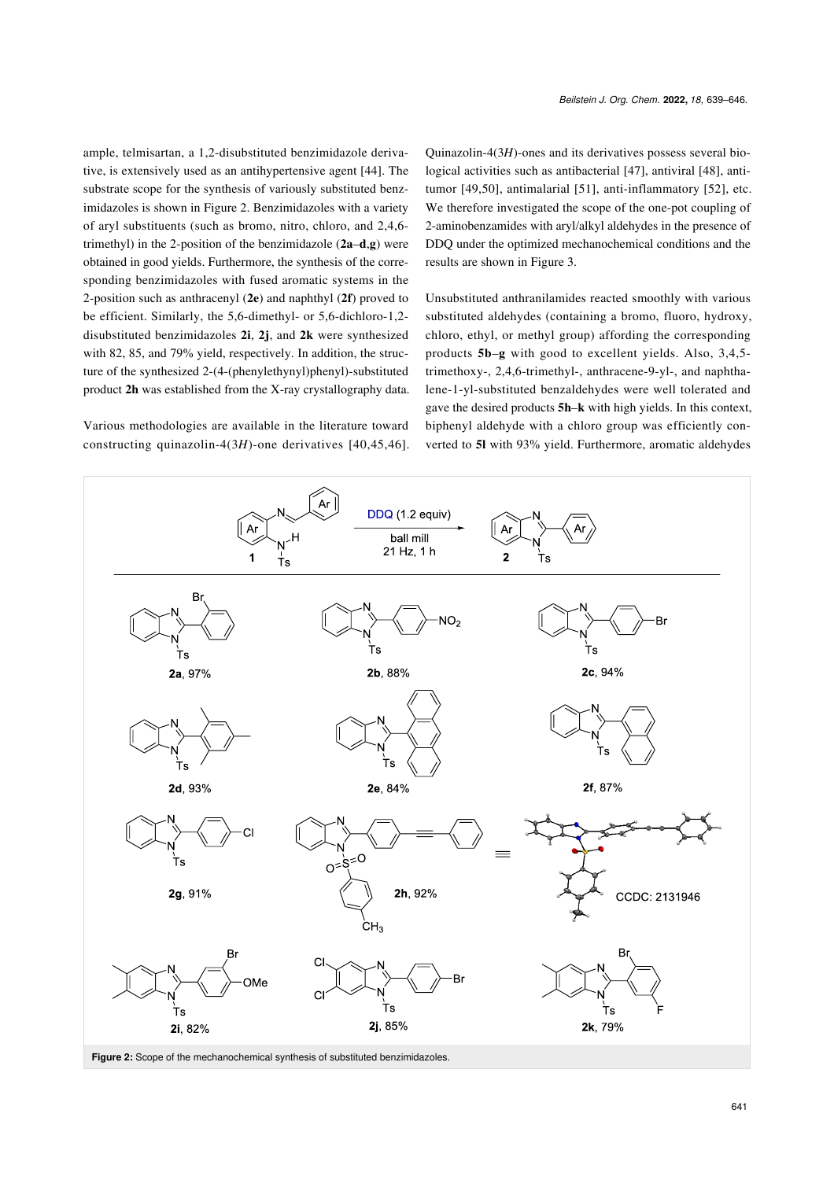ample, telmisartan, a 1,2-disubstituted benzimidazole derivative, is extensively used as an antihypertensive agent [\[44\]](#page-7-4). The substrate scope for the synthesis of variously substituted benzimidazoles is shown in [Figure 2](#page-2-0). Benzimidazoles with a variety of aryl substituents (such as bromo, nitro, chloro, and 2,4,6 trimethyl) in the 2-position of the benzimidazole (**2a**–**d**,**g**) were obtained in good yields. Furthermore, the synthesis of the corresponding benzimidazoles with fused aromatic systems in the 2-position such as anthracenyl (**2e**) and naphthyl (**2f**) proved to be efficient. Similarly, the 5,6-dimethyl- or 5,6-dichloro-1,2 disubstituted benzimidazoles **2i**, **2j**, and **2k** were synthesized with 82, 85, and 79% yield, respectively. In addition, the structure of the synthesized 2-(4-(phenylethynyl)phenyl)-substituted product **2h** was established from the X-ray crystallography data.

Various methodologies are available in the literature toward constructing quinazolin-4(3*H*)-one derivatives [\[40,45,46\]](#page-7-2). Quinazolin-4(3*H*)-ones and its derivatives possess several biological activities such as antibacterial [\[47\]](#page-7-5), antiviral [\[48\],](#page-7-6) antitumor [\[49,50\]](#page-7-7), antimalarial [\[51\]](#page-7-8), anti-inflammatory [\[52\],](#page-7-9) etc. We therefore investigated the scope of the one-pot coupling of 2-aminobenzamides with aryl/alkyl aldehydes in the presence of DDQ under the optimized mechanochemical conditions and the results are shown in [Figure 3](#page-3-0).

Unsubstituted anthranilamides reacted smoothly with various substituted aldehydes (containing a bromo, fluoro, hydroxy, chloro, ethyl, or methyl group) affording the corresponding products **5b**–**g** with good to excellent yields. Also, 3,4,5 trimethoxy-, 2,4,6-trimethyl-, anthracene-9-yl-, and naphthalene-1-yl-substituted benzaldehydes were well tolerated and gave the desired products **5h**–**k** with high yields. In this context, biphenyl aldehyde with a chloro group was efficiently converted to **5l** with 93% yield. Furthermore, aromatic aldehydes

<span id="page-2-0"></span>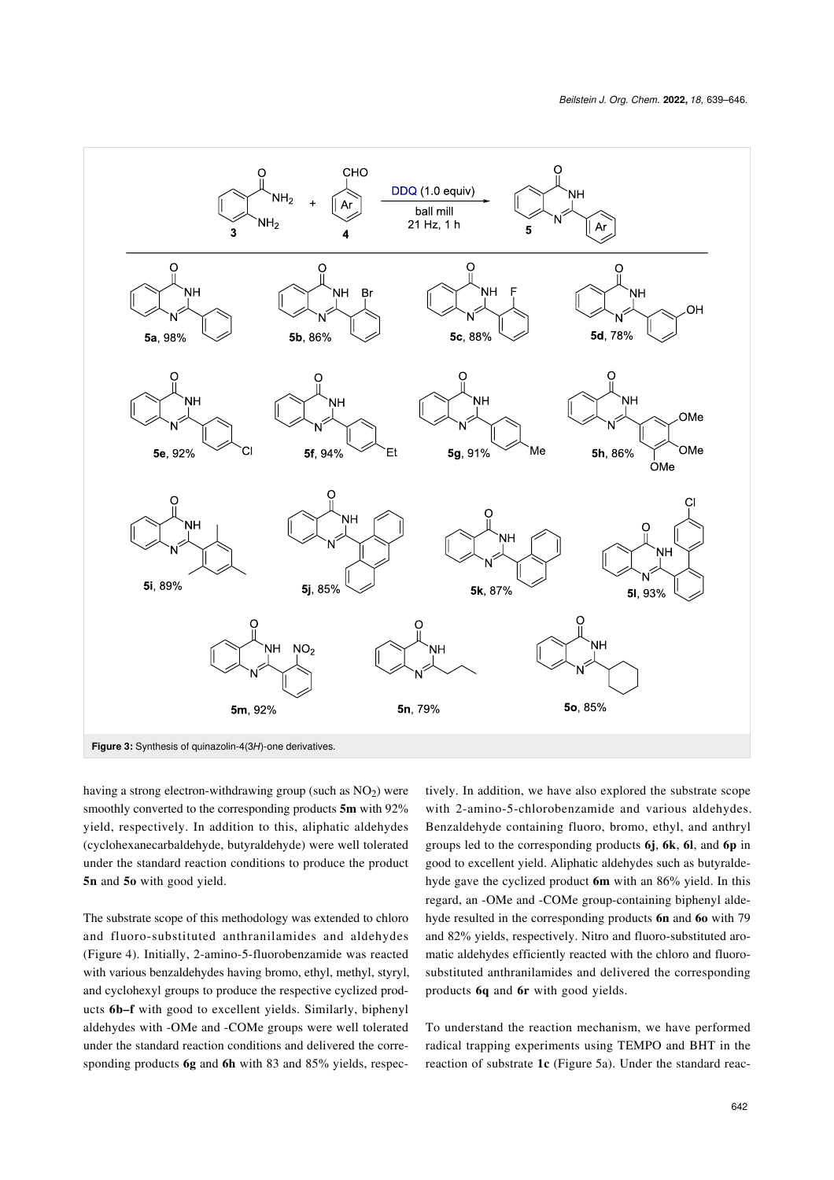<span id="page-3-0"></span>

**Figure 3:** Synthesis of quinazolin-4(3*H*)-one derivatives.

having a strong electron-withdrawing group (such as  $NO<sub>2</sub>$ ) were smoothly converted to the corresponding products **5m** with 92% yield, respectively. In addition to this, aliphatic aldehydes (cyclohexanecarbaldehyde, butyraldehyde) were well tolerated under the standard reaction conditions to produce the product **5n** and **5o** with good yield.

The substrate scope of this methodology was extended to chloro and fluoro-substituted anthranilamides and aldehydes ([Figure 4](#page-4-0)). Initially, 2-amino-5-fluorobenzamide was reacted with various benzaldehydes having bromo, ethyl, methyl, styryl, and cyclohexyl groups to produce the respective cyclized products **6b–f** with good to excellent yields. Similarly, biphenyl aldehydes with -OMe and -COMe groups were well tolerated under the standard reaction conditions and delivered the corresponding products **6g** and **6h** with 83 and 85% yields, respec-

tively. In addition, we have also explored the substrate scope with 2-amino-5-chlorobenzamide and various aldehydes. Benzaldehyde containing fluoro, bromo, ethyl, and anthryl groups led to the corresponding products **6j**, **6k**, **6l**, and **6p** in good to excellent yield. Aliphatic aldehydes such as butyraldehyde gave the cyclized product **6m** with an 86% yield. In this regard, an -OMe and -COMe group-containing biphenyl aldehyde resulted in the corresponding products **6n** and **6o** with 79 and 82% yields, respectively. Nitro and fluoro-substituted aromatic aldehydes efficiently reacted with the chloro and fluorosubstituted anthranilamides and delivered the corresponding products **6q** and **6r** with good yields.

To understand the reaction mechanism, we have performed radical trapping experiments using TEMPO and BHT in the reaction of substrate **1c** ([Figure 5a\)](#page-5-0). Under the standard reac-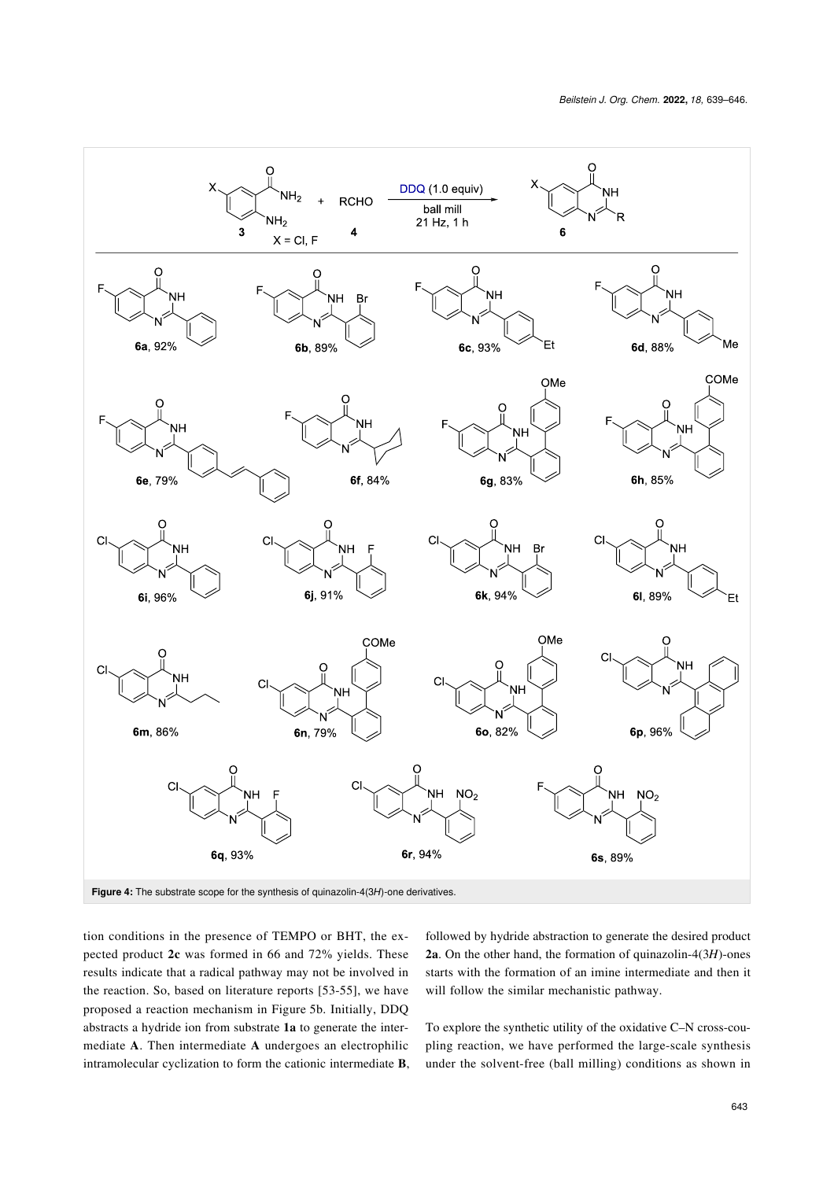<span id="page-4-0"></span>

tion conditions in the presence of TEMPO or BHT, the expected product **2c** was formed in 66 and 72% yields. These results indicate that a radical pathway may not be involved in the reaction. So, based on literature reports [\[53-55\],](#page-7-10) we have proposed a reaction mechanism in [Figure 5b](#page-5-0). Initially, DDQ abstracts a hydride ion from substrate **1a** to generate the intermediate **A**. Then intermediate **A** undergoes an electrophilic intramolecular cyclization to form the cationic intermediate **B**,

followed by hydride abstraction to generate the desired product **2a**. On the other hand, the formation of quinazolin-4(3*H*)-ones starts with the formation of an imine intermediate and then it will follow the similar mechanistic pathway.

To explore the synthetic utility of the oxidative C–N cross-coupling reaction, we have performed the large-scale synthesis under the solvent-free (ball milling) conditions as shown in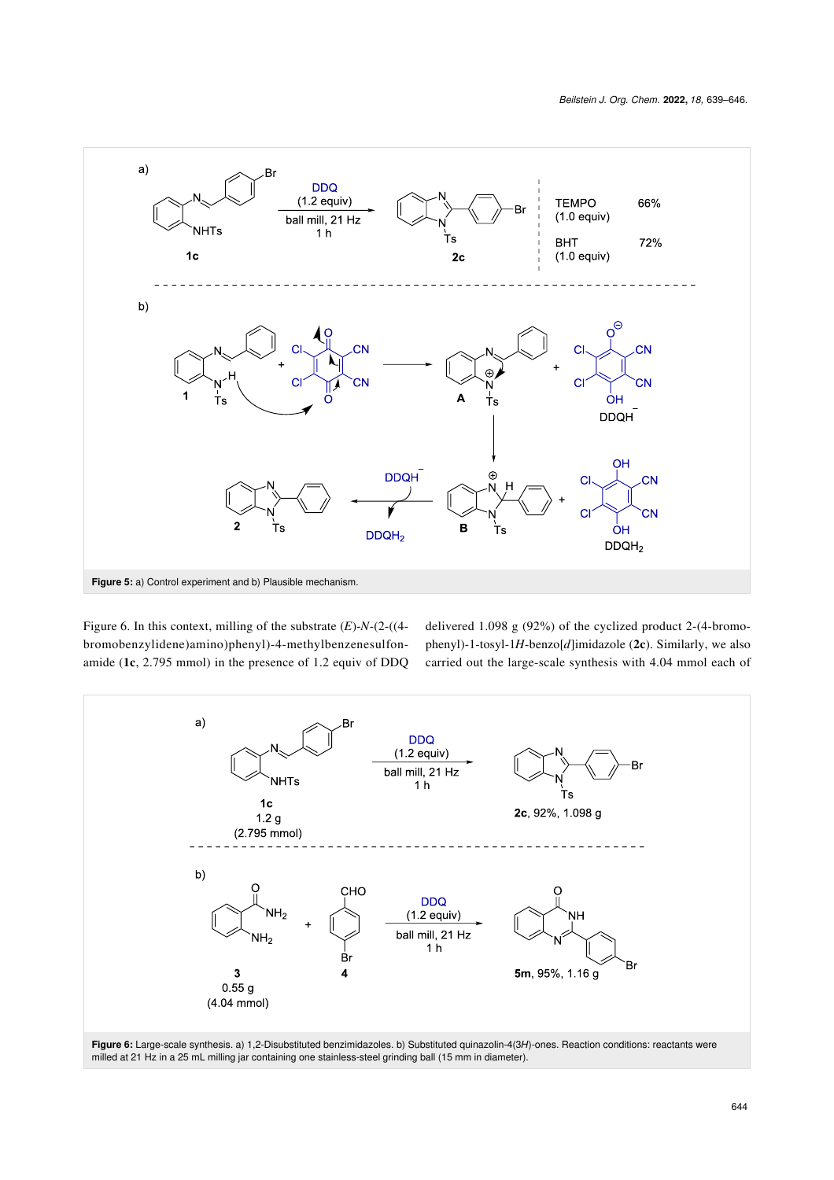<span id="page-5-0"></span>

[Figure 6](#page-5-1). In this context, milling of the substrate (*E*)-*N*-(2-((4 bromobenzylidene)amino)phenyl)-4-methylbenzenesulfonamide (**1c**, 2.795 mmol) in the presence of 1.2 equiv of DDQ delivered 1.098 g (92%) of the cyclized product 2-(4-bromophenyl)-1-tosyl-1*H*-benzo[*d*]imidazole (**2c**). Similarly, we also carried out the large-scale synthesis with 4.04 mmol each of

<span id="page-5-1"></span>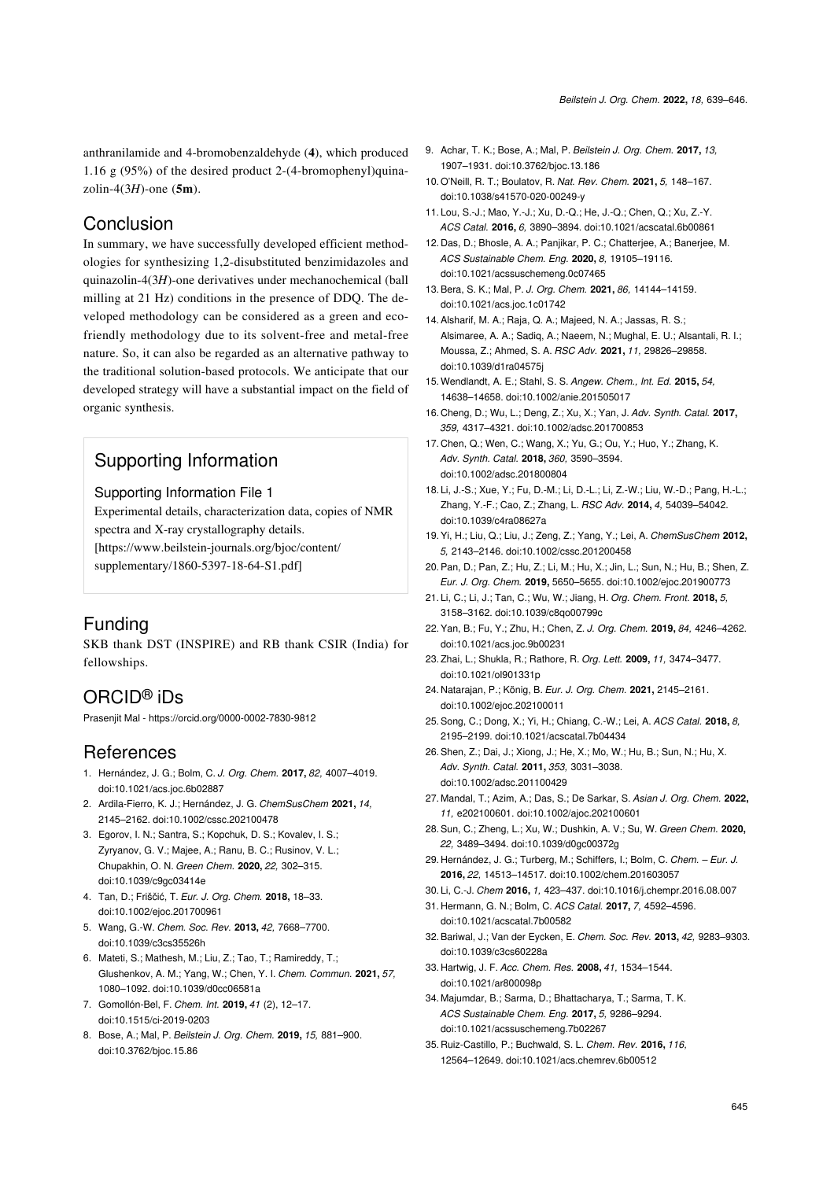anthranilamide and 4-bromobenzaldehyde (**4**), which produced 1.16 g (95%) of the desired product 2-(4-bromophenyl)quinazolin-4(3*H*)-one (**5m**).

#### Conclusion

In summary, we have successfully developed efficient methodologies for synthesizing 1,2-disubstituted benzimidazoles and quinazolin-4(3*H*)-one derivatives under mechanochemical (ball milling at 21 Hz) conditions in the presence of DDQ. The developed methodology can be considered as a green and ecofriendly methodology due to its solvent-free and metal-free nature. So, it can also be regarded as an alternative pathway to the traditional solution-based protocols. We anticipate that our developed strategy will have a substantial impact on the field of organic synthesis.

# Supporting Information

<span id="page-6-20"></span>Supporting Information File 1

Experimental details, characterization data, copies of NMR spectra and X-ray crystallography details. [\[https://www.beilstein-journals.org/bjoc/content/](https://www.beilstein-journals.org/bjoc/content/supplementary/1860-5397-18-64-S1.pdf) [supplementary/1860-5397-18-64-S1.pdf\]](https://www.beilstein-journals.org/bjoc/content/supplementary/1860-5397-18-64-S1.pdf)

## Funding

SKB thank DST (INSPIRE) and RB thank CSIR (India) for fellowships.

# ORCID® iDs

Prasenjit Mal -<https://orcid.org/0000-0002-7830-9812>

## References

- <span id="page-6-0"></span>1. Hernández, J. G.; Bolm, C. *J. Org. Chem.* **2017,** *82,* 4007–4019. [doi:10.1021/acs.joc.6b02887](https://doi.org/10.1021%2Facs.joc.6b02887)
- <span id="page-6-2"></span>2. Ardila‐Fierro, K. J.; Hernández, J. G. *ChemSusChem* **2021,** *14,* 2145–2162. [doi:10.1002/cssc.202100478](https://doi.org/10.1002%2Fcssc.202100478)
- <span id="page-6-6"></span>3. Egorov, I. N.; Santra, S.; Kopchuk, D. S.; Kovalev, I. S.; Zyryanov, G. V.; Majee, A.; Ranu, B. C.; Rusinov, V. L.; Chupakhin, O. N. *Green Chem.* **2020,** *22,* 302–315. [doi:10.1039/c9gc03414e](https://doi.org/10.1039%2Fc9gc03414e)
- 4. Tan, D.; Friščić, T. *Eur. J. Org. Chem.* **2018,** 18–33. [doi:10.1002/ejoc.201700961](https://doi.org/10.1002%2Fejoc.201700961)
- <span id="page-6-1"></span>5. Wang, G.-W. *Chem. Soc. Rev.* **2013,** *42,* 7668–7700. [doi:10.1039/c3cs35526h](https://doi.org/10.1039%2Fc3cs35526h)
- 6. Mateti, S.; Mathesh, M.; Liu, Z.; Tao, T.; Ramireddy, T.; Glushenkov, A. M.; Yang, W.; Chen, Y. I. *Chem. Commun.* **2021,** *57,* 1080–1092. [doi:10.1039/d0cc06581a](https://doi.org/10.1039%2Fd0cc06581a)
- <span id="page-6-3"></span>7. Gomollón-Bel, F. *Chem. Int.* **2019,** *41* (2), 12–17. [doi:10.1515/ci-2019-0203](https://doi.org/10.1515%2Fci-2019-0203)
- <span id="page-6-4"></span>8. Bose, A.; Mal, P. *Beilstein J. Org. Chem.* **2019,** *15,* 881–900. [doi:10.3762/bjoc.15.86](https://doi.org/10.3762%2Fbjoc.15.86)
- 9. Achar, T. K.; Bose, A.; Mal, P. *Beilstein J. Org. Chem.* **2017,** *13,* 1907–1931. [doi:10.3762/bjoc.13.186](https://doi.org/10.3762%2Fbjoc.13.186)
- 10.O'Neill, R. T.; Boulatov, R. *Nat. Rev. Chem.* **2021,** *5,* 148–167. [doi:10.1038/s41570-020-00249-y](https://doi.org/10.1038%2Fs41570-020-00249-y)
- <span id="page-6-5"></span>11. Lou, S.-J.; Mao, Y.-J.; Xu, D.-Q.; He, J.-Q.; Chen, Q.; Xu, Z.-Y. *ACS Catal.* **2016,** *6,* 3890–3894. [doi:10.1021/acscatal.6b00861](https://doi.org/10.1021%2Facscatal.6b00861)
- 12. Das, D.; Bhosle, A. A.; Panjikar, P. C.; Chatterjee, A.; Banerjee, M. *ACS Sustainable Chem. Eng.* **2020,** *8,* 19105–19116. [doi:10.1021/acssuschemeng.0c07465](https://doi.org/10.1021%2Facssuschemeng.0c07465)
- 13.Bera, S. K.; Mal, P. *J. Org. Chem.* **2021,** *86,* 14144–14159. [doi:10.1021/acs.joc.1c01742](https://doi.org/10.1021%2Facs.joc.1c01742)
- <span id="page-6-7"></span>14.Alsharif, M. A.; Raja, Q. A.; Majeed, N. A.; Jassas, R. S.; Alsimaree, A. A.; Sadiq, A.; Naeem, N.; Mughal, E. U.; Alsantali, R. I.; Moussa, Z.; Ahmed, S. A. *RSC Adv.* **2021,** *11,* 29826–29858. [doi:10.1039/d1ra04575j](https://doi.org/10.1039%2Fd1ra04575j)
- 15.Wendlandt, A. E.; Stahl, S. S. *Angew. Chem., Int. Ed.* **2015,** *54,* 14638–14658. [doi:10.1002/anie.201505017](https://doi.org/10.1002%2Fanie.201505017)
- <span id="page-6-8"></span>16. Cheng, D.; Wu, L.; Deng, Z.; Xu, X.; Yan, J. *Adv. Synth. Catal.* **2017,** *359,* 4317–4321. [doi:10.1002/adsc.201700853](https://doi.org/10.1002%2Fadsc.201700853)
- <span id="page-6-9"></span>17. Chen, Q.; Wen, C.; Wang, X.; Yu, G.; Ou, Y.; Huo, Y.; Zhang, K. *Adv. Synth. Catal.* **2018,** *360,* 3590–3594. [doi:10.1002/adsc.201800804](https://doi.org/10.1002%2Fadsc.201800804)
- <span id="page-6-10"></span>18. Li, J.-S.; Xue, Y.; Fu, D.-M.; Li, D.-L.; Li, Z.-W.; Liu, W.-D.; Pang, H.-L.; Zhang, Y.-F.; Cao, Z.; Zhang, L. *RSC Adv.* **2014,** *4,* 54039–54042. [doi:10.1039/c4ra08627a](https://doi.org/10.1039%2Fc4ra08627a)
- 19.Yi, H.; Liu, Q.; Liu, J.; Zeng, Z.; Yang, Y.; Lei, A. *ChemSusChem* **2012,** *5,* 2143–2146. [doi:10.1002/cssc.201200458](https://doi.org/10.1002%2Fcssc.201200458)
- 20.Pan, D.; Pan, Z.; Hu, Z.; Li, M.; Hu, X.; Jin, L.; Sun, N.; Hu, B.; Shen, Z. *Eur. J. Org. Chem.* **2019,** 5650–5655. [doi:10.1002/ejoc.201900773](https://doi.org/10.1002%2Fejoc.201900773)
- <span id="page-6-11"></span>21. Li, C.; Li, J.; Tan, C.; Wu, W.; Jiang, H. *Org. Chem. Front.* **2018,** *5,* 3158–3162. [doi:10.1039/c8qo00799c](https://doi.org/10.1039%2Fc8qo00799c)
- <span id="page-6-12"></span>22.Yan, B.; Fu, Y.; Zhu, H.; Chen, Z. *J. Org. Chem.* **2019,** *84,* 4246–4262. [doi:10.1021/acs.joc.9b00231](https://doi.org/10.1021%2Facs.joc.9b00231)
- 23.Zhai, L.; Shukla, R.; Rathore, R. *Org. Lett.* **2009,** *11,* 3474–3477. [doi:10.1021/ol901331p](https://doi.org/10.1021%2Fol901331p)
- <span id="page-6-13"></span>24. Natarajan, P.; König, B. *Eur. J. Org. Chem.* **2021,** 2145–2161. [doi:10.1002/ejoc.202100011](https://doi.org/10.1002%2Fejoc.202100011)
- <span id="page-6-14"></span>25.Song, C.; Dong, X.; Yi, H.; Chiang, C.-W.; Lei, A. *ACS Catal.* **2018,** *8,* 2195–2199. [doi:10.1021/acscatal.7b04434](https://doi.org/10.1021%2Facscatal.7b04434)
- 26.Shen, Z.; Dai, J.; Xiong, J.; He, X.; Mo, W.; Hu, B.; Sun, N.; Hu, X. *Adv. Synth. Catal.* **2011,** *353,* 3031–3038. [doi:10.1002/adsc.201100429](https://doi.org/10.1002%2Fadsc.201100429)
- <span id="page-6-15"></span>27. Mandal, T.; Azim, A.; Das, S.; De Sarkar, S. *Asian J. Org. Chem.* **2022,** *11,* e202100601. [doi:10.1002/ajoc.202100601](https://doi.org/10.1002%2Fajoc.202100601)
- <span id="page-6-16"></span>28.Sun, C.; Zheng, L.; Xu, W.; Dushkin, A. V.; Su, W. *Green Chem.* **2020,** *22,* 3489–3494. [doi:10.1039/d0gc00372g](https://doi.org/10.1039%2Fd0gc00372g)
- 29. Hernández, J. G.; Turberg, M.; Schiffers, I.; Bolm, C. *Chem. Eur. J.* **2016,** *22,* 14513–14517. [doi:10.1002/chem.201603057](https://doi.org/10.1002%2Fchem.201603057)
- <span id="page-6-17"></span>30. Li, C.-J. *Chem* **2016,** *1,* 423–437. [doi:10.1016/j.chempr.2016.08.007](https://doi.org/10.1016%2Fj.chempr.2016.08.007)
- 31. Hermann, G. N.; Bolm, C. *ACS Catal.* **2017,** *7,* 4592–4596. [doi:10.1021/acscatal.7b00582](https://doi.org/10.1021%2Facscatal.7b00582)
- <span id="page-6-18"></span>32.Bariwal, J.; Van der Eycken, E. *Chem. Soc. Rev.* **2013,** *42,* 9283–9303. [doi:10.1039/c3cs60228a](https://doi.org/10.1039%2Fc3cs60228a)
- 33. Hartwig, J. F. *Acc. Chem. Res.* **2008,** *41,* 1534–1544. [doi:10.1021/ar800098p](https://doi.org/10.1021%2Far800098p)
- 34. Majumdar, B.; Sarma, D.; Bhattacharya, T.; Sarma, T. K. *ACS Sustainable Chem. Eng.* **2017,** *5,* 9286–9294. [doi:10.1021/acssuschemeng.7b02267](https://doi.org/10.1021%2Facssuschemeng.7b02267)
- <span id="page-6-19"></span>35. Ruiz-Castillo, P.; Buchwald, S. L. *Chem. Rev.* **2016,** *116,* 12564–12649. [doi:10.1021/acs.chemrev.6b00512](https://doi.org/10.1021%2Facs.chemrev.6b00512)